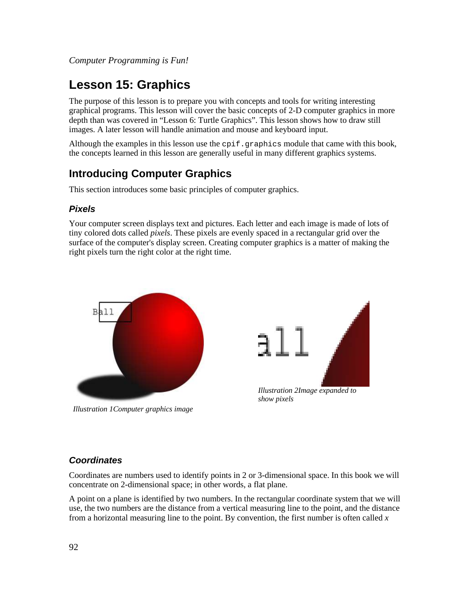# **Lesson 15: Graphics**

The purpose of this lesson is to prepare you with concepts and tools for writing interesting graphical programs. This lesson will cover the basic concepts of 2-D computer graphics in more depth than was covered in "Lesson 6: Turtle Graphics". This lesson shows how to draw still images. A later lesson will handle animation and mouse and keyboard input.

Although the examples in this lesson use the  $\text{epif}.$  graphics module that came with this book, the concepts learned in this lesson are generally useful in many different graphics systems.

## **Introducing Computer Graphics**

This section introduces some basic principles of computer graphics.

## **Pixels**

Your computer screen displays text and pictures. Each letter and each image is made of lots of tiny colored dots called *pixels*. These pixels are evenly spaced in a rectangular grid over the surface of the computer's display screen. Creating computer graphics is a matter of making the right pixels turn the right color at the right time.



*Illustration 1Computer graphics image*



*Illustration 2Image expanded to show pixels*

## **Coordinates**

Coordinates are numbers used to identify points in 2 or 3-dimensional space. In this book we will concentrate on 2-dimensional space; in other words, a flat plane.

A point on a plane is identified by two numbers. In the rectangular coordinate system that we will use, the two numbers are the distance from a vertical measuring line to the point, and the distance from a horizontal measuring line to the point. By convention, the first number is often called *x*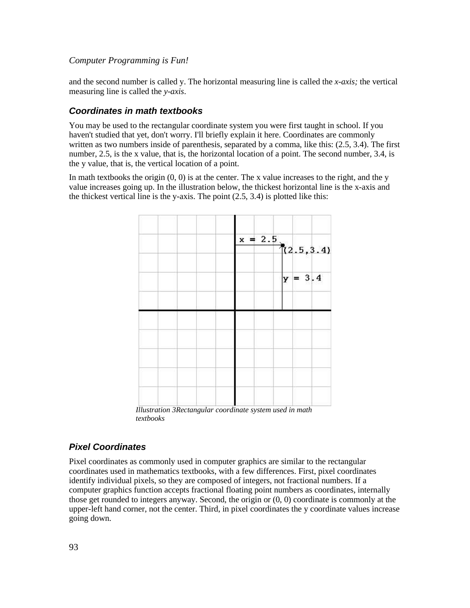and the second number is called y. The horizontal measuring line is called the *x-axis;* the vertical measuring line is called the *y-axis*.

### **Coordinates in math textbooks**

You may be used to the rectangular coordinate system you were first taught in school. If you haven't studied that yet, don't worry. I'll briefly explain it here. Coordinates are commonly written as two numbers inside of parenthesis, separated by a comma, like this: (2.5, 3.4). The first number, 2.5, is the x value, that is, the horizontal location of a point. The second number, 3.4, is the y value, that is, the vertical location of a point.

In math textbooks the origin  $(0, 0)$  is at the center. The x value increases to the right, and the y value increases going up. In the illustration below, the thickest horizontal line is the x-axis and the thickest vertical line is the y-axis. The point (2.5, 3.4) is plotted like this:



*Illustration 3Rectangular coordinate system used in math textbooks*

#### **Pixel Coordinates**

Pixel coordinates as commonly used in computer graphics are similar to the rectangular coordinates used in mathematics textbooks, with a few differences. First, pixel coordinates identify individual pixels, so they are composed of integers, not fractional numbers. If a computer graphics function accepts fractional floating point numbers as coordinates, internally those get rounded to integers anyway. Second, the origin or (0, 0) coordinate is commonly at the upper-left hand corner, not the center. Third, in pixel coordinates the y coordinate values increase going down.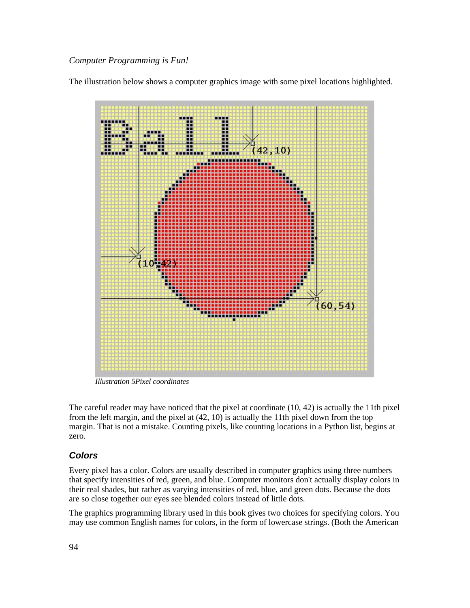The illustration below shows a computer graphics image with some pixel locations highlighted.



*Illustration 5Pixel coordinates*

The careful reader may have noticed that the pixel at coordinate (10, 42) is actually the 11th pixel from the left margin, and the pixel at (42, 10) is actually the 11th pixel down from the top margin. That is not a mistake. Counting pixels, like counting locations in a Python list, begins at zero.

#### **Colors**

Every pixel has a color. Colors are usually described in computer graphics using three numbers that specify intensities of red, green, and blue. Computer monitors don't actually display colors in their real shades, but rather as varying intensities of red, blue, and green dots. Because the dots are so close together our eyes see blended colors instead of little dots.

The graphics programming library used in this book gives two choices for specifying colors. You may use common English names for colors, in the form of lowercase strings. (Both the American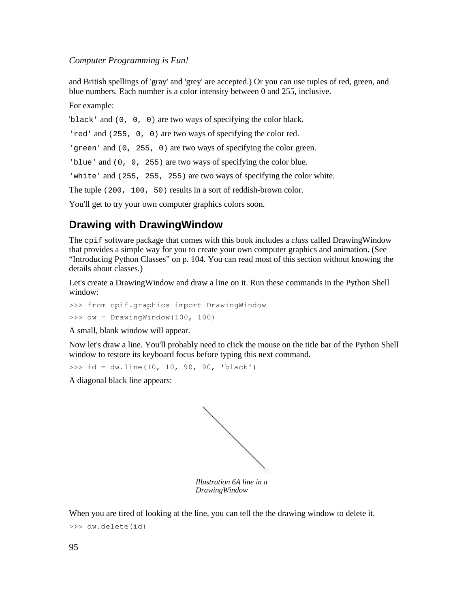and British spellings of 'gray' and 'grey' are accepted.) Or you can use tuples of red, green, and blue numbers. Each number is a color intensity between 0 and 255, inclusive.

For example:

'black' and (0, 0, 0) are two ways of specifying the color black.

'red' and (255, 0, 0) are two ways of specifying the color red.

'green' and (0, 255, 0) are two ways of specifying the color green.

'blue' and (0, 0, 255) are two ways of specifying the color blue.

'white' and (255, 255, 255) are two ways of specifying the color white.

The tuple (200, 100, 50) results in a sort of reddish-brown color.

You'll get to try your own computer graphics colors soon.

## **Drawing with DrawingWindow**

The cpif software package that comes with this book includes a *class* called DrawingWindow that provides a simple way for you to create your own computer graphics and animation. (See "Introducing Python Classes" on p. 104*.* You can read most of this section without knowing the details about classes.)

Let's create a DrawingWindow and draw a line on it. Run these commands in the Python Shell window:

```
>>> from cpif.graphics import DrawingWindow
\gg dw = DrawingWindow(100, 100)
```
A small, blank window will appear.

Now let's draw a line. You'll probably need to click the mouse on the title bar of the Python Shell window to restore its keyboard focus before typing this next command.

 $\gg$  id = dw.line(10, 10, 90, 90, 'black')

A diagonal black line appears:



*DrawingWindow*

When you are tired of looking at the line, you can tell the the drawing window to delete it.

>>> dw.delete(id)

95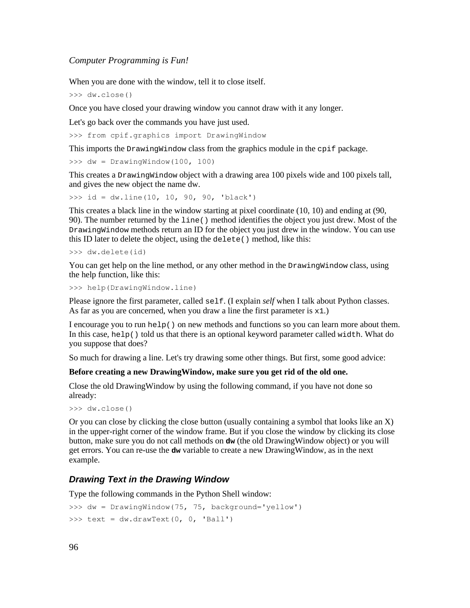When you are done with the window, tell it to close itself.

>>> dw.close()

Once you have closed your drawing window you cannot draw with it any longer.

Let's go back over the commands you have just used.

>>> from cpif.graphics import DrawingWindow

This imports the DrawingWindow class from the graphics module in the cpif package.

>>> dw = DrawingWindow(100, 100)

This creates a DrawingWindow object with a drawing area 100 pixels wide and 100 pixels tall, and gives the new object the name dw.

>>> id = dw.line(10, 10, 90, 90, 'black')

This creates a black line in the window starting at pixel coordinate (10, 10) and ending at (90, 90). The number returned by the line() method identifies the object you just drew. Most of the DrawingWindow methods return an ID for the object you just drew in the window. You can use this ID later to delete the object, using the delete() method, like this:

```
>>> dw.delete(id)
```
You can get help on the line method, or any other method in the DrawingWindow class, using the help function, like this:

>>> help(DrawingWindow.line)

Please ignore the first parameter, called self. (I explain *self* when I talk about Python classes. As far as you are concerned, when you draw a line the first parameter is  $x1$ .)

I encourage you to run help() on new methods and functions so you can learn more about them. In this case, help() told us that there is an optional keyword parameter called width. What do you suppose that does?

So much for drawing a line. Let's try drawing some other things. But first, some good advice:

#### **Before creating a new DrawingWindow, make sure you get rid of the old one.**

Close the old DrawingWindow by using the following command, if you have not done so already:

```
>>> dw.close()
```
Or you can close by clicking the close button (usually containing a symbol that looks like an X) in the upper-right corner of the window frame. But if you close the window by clicking its close button, make sure you do not call methods on **dw** (the old DrawingWindow object) or you will get errors. You can re-use the **dw** variable to create a new DrawingWindow, as in the next example.

#### **Drawing Text in the Drawing Window**

Type the following commands in the Python Shell window:

```
>>> dw = DrawingWindow(75, 75, background='yellow')
>>> text = dw.drawText(0, 0, 'Ball')
```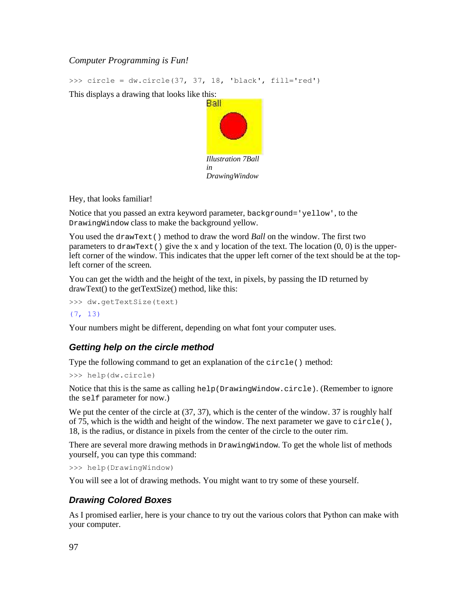>>> circle = dw.circle(37, 37, 18, 'black', fill='red')

This displays a drawing that looks like this:



Hey, that looks familiar!

Notice that you passed an extra keyword parameter, background='yellow', to the DrawingWindow class to make the background yellow.

You used the drawText() method to draw the word *Ball* on the window. The first two parameters to drawText() give the x and y location of the text. The location  $(0, 0)$  is the upperleft corner of the window. This indicates that the upper left corner of the text should be at the topleft corner of the screen.

You can get the width and the height of the text, in pixels, by passing the ID returned by drawText() to the getTextSize() method, like this:

```
>>> dw.getTextSize(text)
```
#### (7, 13)

Your numbers might be different, depending on what font your computer uses.

## **Getting help on the circle method**

Type the following command to get an explanation of the circle() method:

```
>>> help(dw.circle)
```
Notice that this is the same as calling help(DrawingWindow.circle). (Remember to ignore the self parameter for now.)

We put the center of the circle at  $(37, 37)$ , which is the center of the window. 37 is roughly half of 75, which is the width and height of the window. The next parameter we gave to circle(), 18, is the radius, or distance in pixels from the center of the circle to the outer rim.

There are several more drawing methods in DrawingWindow. To get the whole list of methods yourself, you can type this command:

```
>>> help(DrawingWindow)
```
You will see a lot of drawing methods. You might want to try some of these yourself.

## **Drawing Colored Boxes**

As I promised earlier, here is your chance to try out the various colors that Python can make with your computer.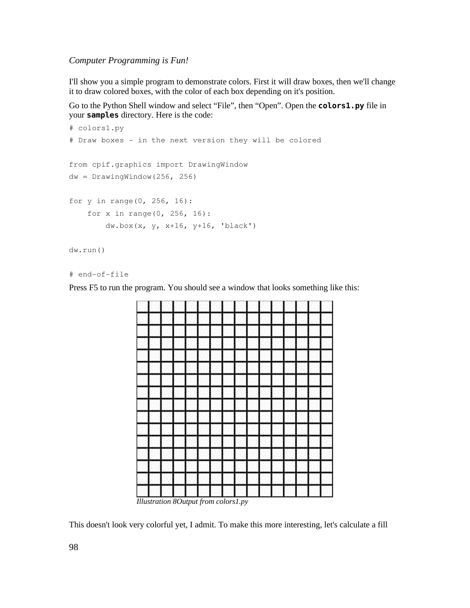I'll show you a simple program to demonstrate colors. First it will draw boxes, then we'll change it to draw colored boxes, with the color of each box depending on it's position.

Go to the Python Shell window and select "File", then "Open". Open the **colors1.py** file in your **samples** directory. Here is the code:

```
# colors1.py
# Draw boxes - in the next version they will be colored
from cpif.graphics import DrawingWindow
dw = DrawingWindow(256, 256)for y in range(0, 256, 16):
       for x in range(0, 256, 16):
               dw.box(x, y, x+16, y+16, 'black')
dw.run()
```

```
# end-of-file
```
Press F5 to run the program. You should see a window that looks something like this:



*Illustration 8Output from colors1.py*

This doesn't look very colorful yet, I admit. To make this more interesting, let's calculate a fill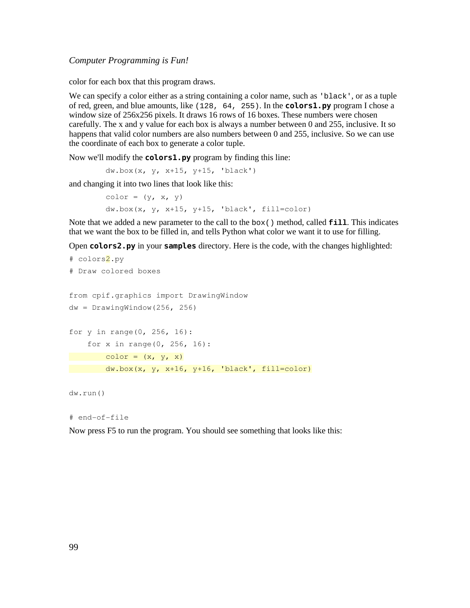color for each box that this program draws.

We can specify a color either as a string containing a color name, such as 'black', or as a tuple of red, green, and blue amounts, like (128, 64, 255). In the **colors1.py** program I chose a window size of 256x256 pixels. It draws 16 rows of 16 boxes. These numbers were chosen carefully. The x and y value for each box is always a number between 0 and 255, inclusive. It so happens that valid color numbers are also numbers between 0 and 255, inclusive. So we can use the coordinate of each box to generate a color tuple.

Now we'll modify the **colors1.py** program by finding this line:

```
       dw.box(x, y, x+15, y+15, 'black')
```
and changing it into two lines that look like this:

 $color = (y, x, y)$ dw.box(x, y, x+15, y+15, 'black', fill=color)

Note that we added a new parameter to the call to the box() method, called **fill**. This indicates that we want the box to be filled in, and tells Python what color we want it to use for filling.

Open **colors2.py** in your **samples** directory. Here is the code, with the changes highlighted:

```
# colors2.py
# Draw colored boxes
from cpif.graphics import DrawingWindow
dw = DravingWindow(256, 256)for y in range(0, 256, 16):
      for x in range(0, 256, 16):
       color = (x, y, x)dw.box(x, y, x+16, y+16, 'black', fill-color)
```

```
dw.run()
```

```
# end-of-file
```
Now press F5 to run the program. You should see something that looks like this: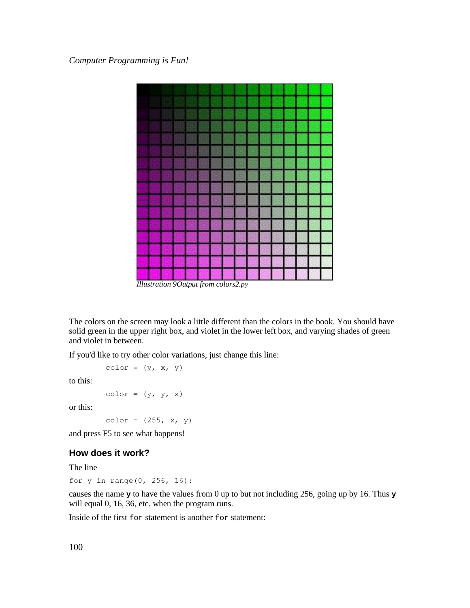

*Illustration 9Output from colors2.py*

The colors on the screen may look a little different than the colors in the book. You should have solid green in the upper right box, and violet in the lower left box, and varying shades of green and violet in between.

If you'd like to try other color variations, just change this line:

 $color = (y, x, y)$ 

to this:

 $color = (y, y, x)$ 

or this:

color =  $(255, x, y)$ 

and press F5 to see what happens!

#### **How does it work?**

The line

for y in range(0, 256, 16):

causes the name **y** to have the values from 0 up to but not including 256, going up by 16. Thus **y** will equal 0, 16, 36, etc. when the program runs.

Inside of the first for statement is another for statement: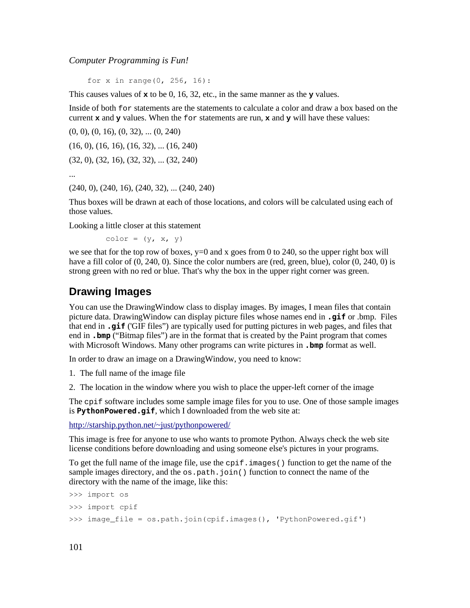for x in range(0, 256, 16):

This causes values of **x** to be 0, 16, 32, etc., in the same manner as the **y** values.

Inside of both for statements are the statements to calculate a color and draw a box based on the current **x** and **y** values. When the for statements are run, **x** and **y** will have these values:

(0, 0), (0, 16), (0, 32), ... (0, 240) (16, 0), (16, 16), (16, 32), ... (16, 240) (32, 0), (32, 16), (32, 32), ... (32, 240)

...

(240, 0), (240, 16), (240, 32), ... (240, 240)

Thus boxes will be drawn at each of those locations, and colors will be calculated using each of those values.

Looking a little closer at this statement

 $color = (y, x, y)$ 

we see that for the top row of boxes, y=0 and x goes from 0 to 240, so the upper right box will have a fill color of  $(0, 240, 0)$ . Since the color numbers are (red, green, blue), color  $(0, 240, 0)$  is strong green with no red or blue. That's why the box in the upper right corner was green.

### **Drawing Images**

You can use the DrawingWindow class to display images. By images, I mean files that contain picture data. DrawingWindow can display picture files whose names end in **.gif** or .bmp. Files that end in **.gif** ('GIF files") are typically used for putting pictures in web pages, and files that end in **.bmp** ("Bitmap files") are in the format that is created by the Paint program that comes with Microsoft Windows. Many other programs can write pictures in **.bmp** format as well.

In order to draw an image on a DrawingWindow, you need to know:

1. The full name of the image file

2. The location in the window where you wish to place the upper-left corner of the image

The cpif software includes some sample image files for you to use. One of those sample images is **PythonPowered.gif**, which I downloaded from the web site at:

http://starship.python.net/~just/pythonpowered/

This image is free for anyone to use who wants to promote Python. Always check the web site license conditions before downloading and using someone else's pictures in your programs.

To get the full name of the image file, use the  $\text{cpi}$ . images() function to get the name of the sample images directory, and the  $\circ$ s.path.join() function to connect the name of the directory with the name of the image, like this:

```
>>> import os
>>> import cpif
>>> image_file = os.path.join(cpif.images(), 'PythonPowered.gif')
```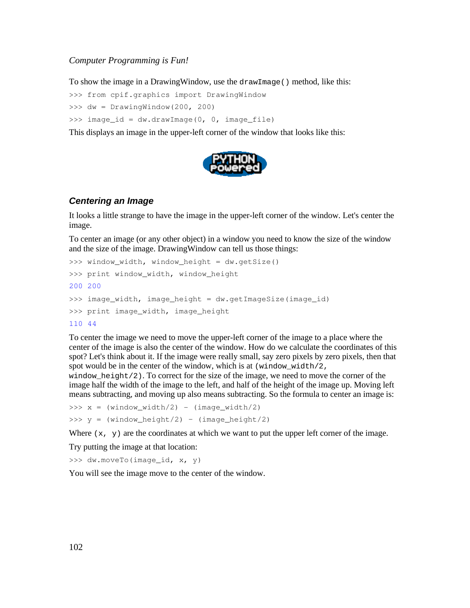To show the image in a DrawingWindow, use the drawImage() method, like this:

```
>>> from cpif.graphics import DrawingWindow
```
>>> dw = DrawingWindow(200, 200)

>>> image id = dw.drawImage(0, 0, image file)

This displays an image in the upper-left corner of the window that looks like this:



#### **Centering an Image**

It looks a little strange to have the image in the upper-left corner of the window. Let's center the image.

To center an image (or any other object) in a window you need to know the size of the window and the size of the image. DrawingWindow can tell us those things:

```
>>> window_width, window_height = dw.getSize()
>>> print window_width, window_height
200 200
>>> image_width, image_height = dw.getImageSize(image_id)
>>> print image_width, image_height
110 44
```
To center the image we need to move the upper-left corner of the image to a place where the center of the image is also the center of the window. How do we calculate the coordinates of this spot? Let's think about it. If the image were really small, say zero pixels by zero pixels, then that spot would be in the center of the window, which is at (window\_width/2,

window\_height/2). To correct for the size of the image, we need to move the corner of the image half the width of the image to the left, and half of the height of the image up. Moving left means subtracting, and moving up also means subtracting. So the formula to center an image is:

 $\Rightarrow$   $\times$  = (window\_width/2) - (image\_width/2)  $>> y = (window height/2) - (image height/2)$ 

Where  $(x, y)$  are the coordinates at which we want to put the upper left corner of the image.

Try putting the image at that location:

>>> dw.moveTo(image\_id, x, y)

You will see the image move to the center of the window.